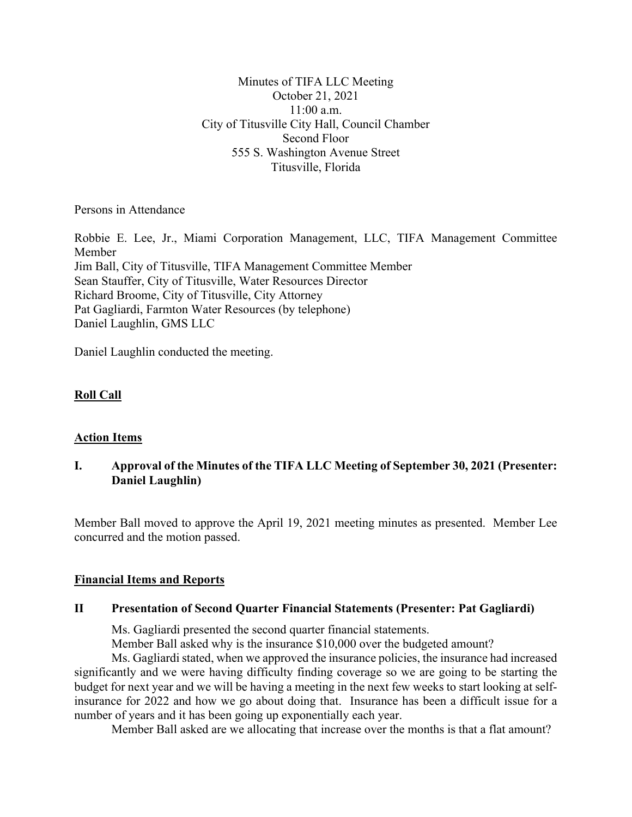Minutes of TIFA LLC Meeting October 21, 2021 11:00 a.m. City of Titusville City Hall, Council Chamber Second Floor 555 S. Washington Avenue Street Titusville, Florida

Persons in Attendance

Robbie E. Lee, Jr., Miami Corporation Management, LLC, TIFA Management Committee Member Jim Ball, City of Titusville, TIFA Management Committee Member Sean Stauffer, City of Titusville, Water Resources Director Richard Broome, City of Titusville, City Attorney Pat Gagliardi, Farmton Water Resources (by telephone) Daniel Laughlin, GMS LLC

Daniel Laughlin conducted the meeting.

# **Roll Call**

# **Action Items**

# **I. Approval of the Minutes of the TIFA LLC Meeting of September 30, 2021 (Presenter: Daniel Laughlin)**

Member Ball moved to approve the April 19, 2021 meeting minutes as presented. Member Lee concurred and the motion passed.

## **Financial Items and Reports**

## **II Presentation of Second Quarter Financial Statements (Presenter: Pat Gagliardi)**

Ms. Gagliardi presented the second quarter financial statements.

Member Ball asked why is the insurance \$10,000 over the budgeted amount?

Ms. Gagliardi stated, when we approved the insurance policies, the insurance had increased significantly and we were having difficulty finding coverage so we are going to be starting the budget for next year and we will be having a meeting in the next few weeks to start looking at selfinsurance for 2022 and how we go about doing that. Insurance has been a difficult issue for a number of years and it has been going up exponentially each year.

Member Ball asked are we allocating that increase over the months is that a flat amount?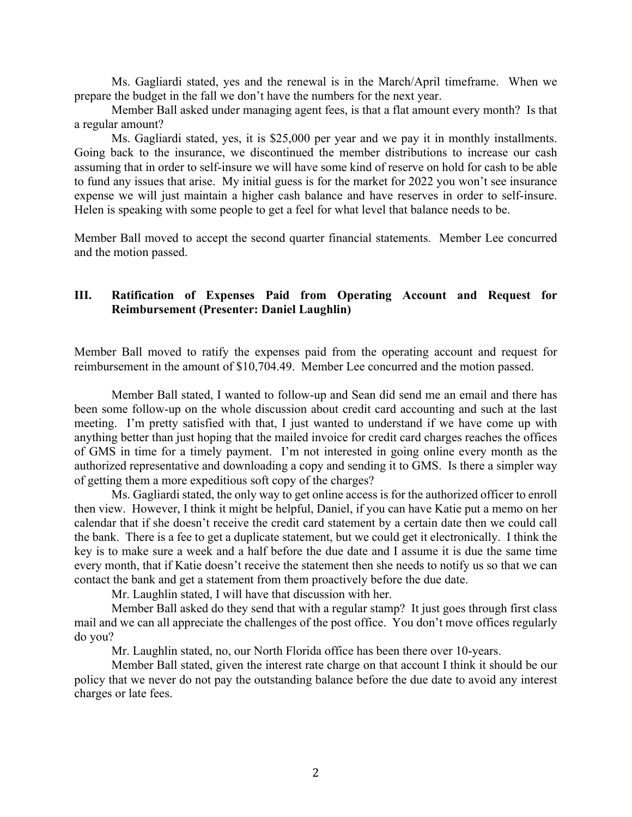Ms. Gagliardi stated, yes and the renewal is in the March/April timeframe. When we prepare the budget in the fall we don't have the numbers for the next year.

Member Ball asked under managing agent fees, is that a flat amount every month? Is that a regular amount?

Ms. Gagliardi stated, yes, it is \$25,000 per year and we pay it in monthly installments. Going back to the insurance, we discontinued the member distributions to increase our cash assuming that in order to self-insure we will have some kind of reserve on hold for cash to be able to fund any issues that arise. My initial guess is for the market for 2022 you won't see insurance expense we will just maintain a higher cash balance and have reserves in order to self-insure. Helen is speaking with some people to get a feel for what level that balance needs to be.

Member Ball moved to accept the second quarter financial statements. Member Lee concurred and the motion passed.

# **III. Ratification of Expenses Paid from Operating Account and Request for Reimbursement (Presenter: Daniel Laughlin)**

Member Ball moved to ratify the expenses paid from the operating account and request for reimbursement in the amount of \$10,704.49. Member Lee concurred and the motion passed.

Member Ball stated, I wanted to follow-up and Sean did send me an email and there has been some follow-up on the whole discussion about credit card accounting and such at the last meeting. I'm pretty satisfied with that, I just wanted to understand if we have come up with anything better than just hoping that the mailed invoice for credit card charges reaches the offices of GMS in time for a timely payment. I'm not interested in going online every month as the authorized representative and downloading a copy and sending it to GMS. Is there a simpler way of getting them a more expeditious soft copy of the charges?

Ms. Gagliardi stated, the only way to get online access is for the authorized officer to enroll then view. However, I think it might be helpful, Daniel, if you can have Katie put a memo on her calendar that if she doesn't receive the credit card statement by a certain date then we could call the bank. There is a fee to get a duplicate statement, but we could get it electronically. I think the key is to make sure a week and a half before the due date and I assume it is due the same time every month, that if Katie doesn't receive the statement then she needs to notify us so that we can contact the bank and get a statement from them proactively before the due date.

Mr. Laughlin stated, I will have that discussion with her.

Member Ball asked do they send that with a regular stamp? It just goes through first class mail and we can all appreciate the challenges of the post office. You don't move offices regularly do you?

Mr. Laughlin stated, no, our North Florida office has been there over 10-years.

Member Ball stated, given the interest rate charge on that account I think it should be our policy that we never do not pay the outstanding balance before the due date to avoid any interest charges or late fees.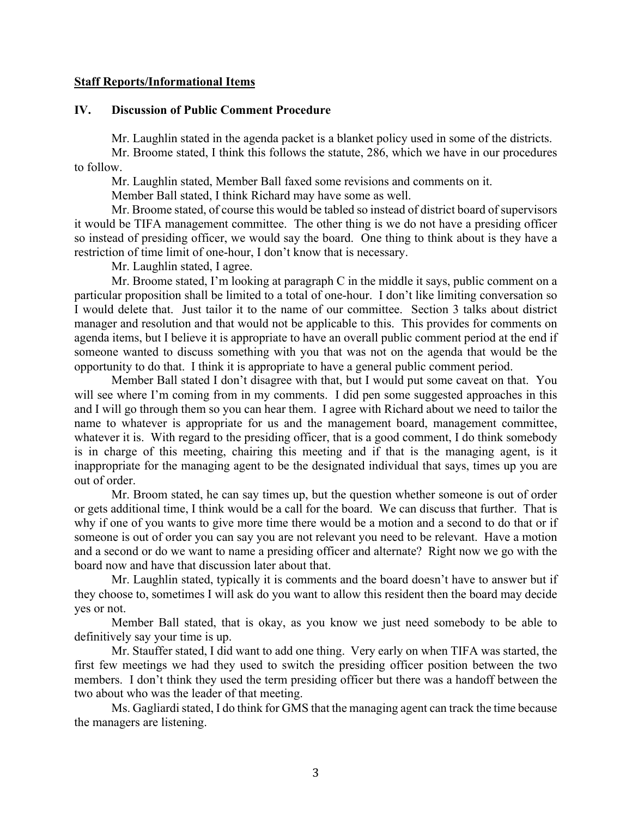## **Staff Reports/Informational Items**

#### **IV. Discussion of Public Comment Procedure**

Mr. Laughlin stated in the agenda packet is a blanket policy used in some of the districts.

Mr. Broome stated, I think this follows the statute, 286, which we have in our procedures to follow.

Mr. Laughlin stated, Member Ball faxed some revisions and comments on it.

Member Ball stated, I think Richard may have some as well.

Mr. Broome stated, of course this would be tabled so instead of district board of supervisors it would be TIFA management committee. The other thing is we do not have a presiding officer so instead of presiding officer, we would say the board. One thing to think about is they have a restriction of time limit of one-hour, I don't know that is necessary.

Mr. Laughlin stated, I agree.

Mr. Broome stated, I'm looking at paragraph C in the middle it says, public comment on a particular proposition shall be limited to a total of one-hour. I don't like limiting conversation so I would delete that. Just tailor it to the name of our committee. Section 3 talks about district manager and resolution and that would not be applicable to this. This provides for comments on agenda items, but I believe it is appropriate to have an overall public comment period at the end if someone wanted to discuss something with you that was not on the agenda that would be the opportunity to do that. I think it is appropriate to have a general public comment period.

Member Ball stated I don't disagree with that, but I would put some caveat on that. You will see where I'm coming from in my comments. I did pen some suggested approaches in this and I will go through them so you can hear them. I agree with Richard about we need to tailor the name to whatever is appropriate for us and the management board, management committee, whatever it is. With regard to the presiding officer, that is a good comment, I do think somebody is in charge of this meeting, chairing this meeting and if that is the managing agent, is it inappropriate for the managing agent to be the designated individual that says, times up you are out of order.

Mr. Broom stated, he can say times up, but the question whether someone is out of order or gets additional time, I think would be a call for the board. We can discuss that further. That is why if one of you wants to give more time there would be a motion and a second to do that or if someone is out of order you can say you are not relevant you need to be relevant. Have a motion and a second or do we want to name a presiding officer and alternate? Right now we go with the board now and have that discussion later about that.

Mr. Laughlin stated, typically it is comments and the board doesn't have to answer but if they choose to, sometimes I will ask do you want to allow this resident then the board may decide yes or not.

Member Ball stated, that is okay, as you know we just need somebody to be able to definitively say your time is up.

Mr. Stauffer stated, I did want to add one thing. Very early on when TIFA was started, the first few meetings we had they used to switch the presiding officer position between the two members. I don't think they used the term presiding officer but there was a handoff between the two about who was the leader of that meeting.

Ms. Gagliardi stated, I do think for GMS that the managing agent can track the time because the managers are listening.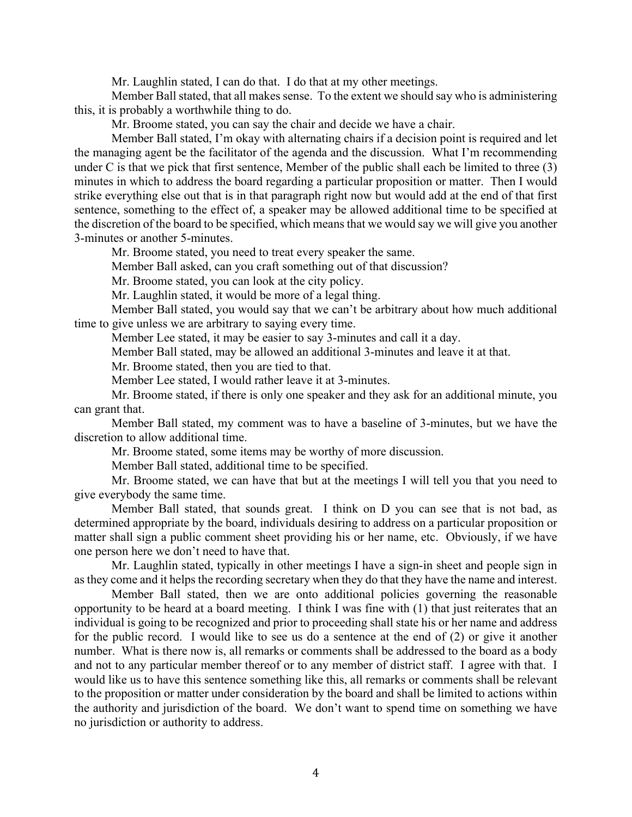Mr. Laughlin stated, I can do that. I do that at my other meetings.

Member Ball stated, that all makes sense. To the extent we should say who is administering this, it is probably a worthwhile thing to do.

Mr. Broome stated, you can say the chair and decide we have a chair.

Member Ball stated, I'm okay with alternating chairs if a decision point is required and let the managing agent be the facilitator of the agenda and the discussion. What I'm recommending under C is that we pick that first sentence, Member of the public shall each be limited to three (3) minutes in which to address the board regarding a particular proposition or matter. Then I would strike everything else out that is in that paragraph right now but would add at the end of that first sentence, something to the effect of, a speaker may be allowed additional time to be specified at the discretion of the board to be specified, which means that we would say we will give you another 3-minutes or another 5-minutes.

Mr. Broome stated, you need to treat every speaker the same.

Member Ball asked, can you craft something out of that discussion?

Mr. Broome stated, you can look at the city policy.

Mr. Laughlin stated, it would be more of a legal thing.

Member Ball stated, you would say that we can't be arbitrary about how much additional time to give unless we are arbitrary to saying every time.

Member Lee stated, it may be easier to say 3-minutes and call it a day.

Member Ball stated, may be allowed an additional 3-minutes and leave it at that.

Mr. Broome stated, then you are tied to that.

Member Lee stated, I would rather leave it at 3-minutes.

Mr. Broome stated, if there is only one speaker and they ask for an additional minute, you can grant that.

Member Ball stated, my comment was to have a baseline of 3-minutes, but we have the discretion to allow additional time.

Mr. Broome stated, some items may be worthy of more discussion.

Member Ball stated, additional time to be specified.

Mr. Broome stated, we can have that but at the meetings I will tell you that you need to give everybody the same time.

Member Ball stated, that sounds great. I think on D you can see that is not bad, as determined appropriate by the board, individuals desiring to address on a particular proposition or matter shall sign a public comment sheet providing his or her name, etc. Obviously, if we have one person here we don't need to have that.

Mr. Laughlin stated, typically in other meetings I have a sign-in sheet and people sign in as they come and it helps the recording secretary when they do that they have the name and interest.

Member Ball stated, then we are onto additional policies governing the reasonable opportunity to be heard at a board meeting. I think I was fine with (1) that just reiterates that an individual is going to be recognized and prior to proceeding shall state his or her name and address for the public record. I would like to see us do a sentence at the end of (2) or give it another number. What is there now is, all remarks or comments shall be addressed to the board as a body and not to any particular member thereof or to any member of district staff. I agree with that. I would like us to have this sentence something like this, all remarks or comments shall be relevant to the proposition or matter under consideration by the board and shall be limited to actions within the authority and jurisdiction of the board. We don't want to spend time on something we have no jurisdiction or authority to address.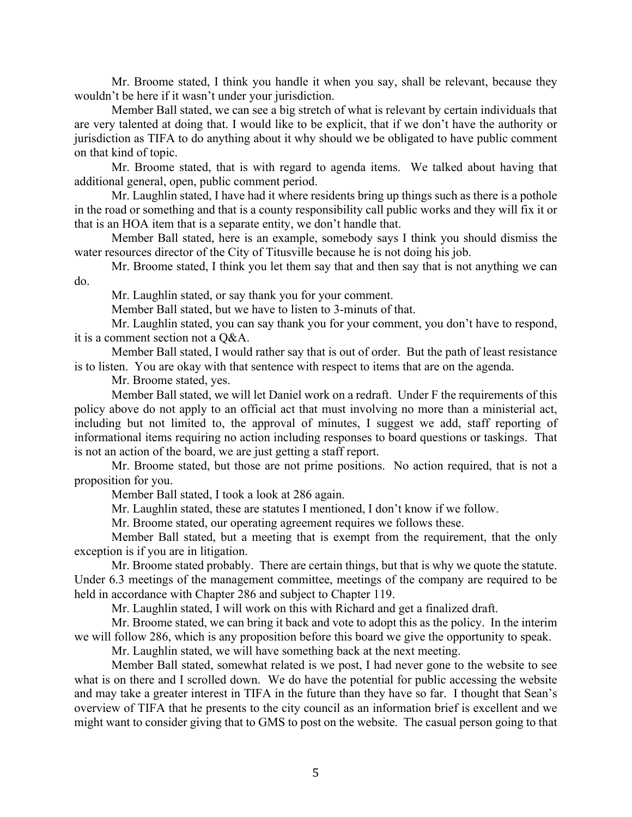Mr. Broome stated, I think you handle it when you say, shall be relevant, because they wouldn't be here if it wasn't under your jurisdiction.

Member Ball stated, we can see a big stretch of what is relevant by certain individuals that are very talented at doing that. I would like to be explicit, that if we don't have the authority or jurisdiction as TIFA to do anything about it why should we be obligated to have public comment on that kind of topic.

Mr. Broome stated, that is with regard to agenda items. We talked about having that additional general, open, public comment period.

Mr. Laughlin stated, I have had it where residents bring up things such as there is a pothole in the road or something and that is a county responsibility call public works and they will fix it or that is an HOA item that is a separate entity, we don't handle that.

Member Ball stated, here is an example, somebody says I think you should dismiss the water resources director of the City of Titusville because he is not doing his job.

Mr. Broome stated, I think you let them say that and then say that is not anything we can do.

Mr. Laughlin stated, or say thank you for your comment.

Member Ball stated, but we have to listen to 3-minuts of that.

Mr. Laughlin stated, you can say thank you for your comment, you don't have to respond, it is a comment section not a Q&A.

Member Ball stated, I would rather say that is out of order. But the path of least resistance is to listen. You are okay with that sentence with respect to items that are on the agenda.

Mr. Broome stated, yes.

Member Ball stated, we will let Daniel work on a redraft. Under F the requirements of this policy above do not apply to an official act that must involving no more than a ministerial act, including but not limited to, the approval of minutes, I suggest we add, staff reporting of informational items requiring no action including responses to board questions or taskings. That is not an action of the board, we are just getting a staff report.

Mr. Broome stated, but those are not prime positions. No action required, that is not a proposition for you.

Member Ball stated, I took a look at 286 again.

Mr. Laughlin stated, these are statutes I mentioned, I don't know if we follow.

Mr. Broome stated, our operating agreement requires we follows these.

Member Ball stated, but a meeting that is exempt from the requirement, that the only exception is if you are in litigation.

Mr. Broome stated probably. There are certain things, but that is why we quote the statute. Under 6.3 meetings of the management committee, meetings of the company are required to be held in accordance with Chapter 286 and subject to Chapter 119.

Mr. Laughlin stated, I will work on this with Richard and get a finalized draft.

Mr. Broome stated, we can bring it back and vote to adopt this as the policy. In the interim we will follow 286, which is any proposition before this board we give the opportunity to speak.

Mr. Laughlin stated, we will have something back at the next meeting.

Member Ball stated, somewhat related is we post, I had never gone to the website to see what is on there and I scrolled down. We do have the potential for public accessing the website and may take a greater interest in TIFA in the future than they have so far. I thought that Sean's overview of TIFA that he presents to the city council as an information brief is excellent and we might want to consider giving that to GMS to post on the website. The casual person going to that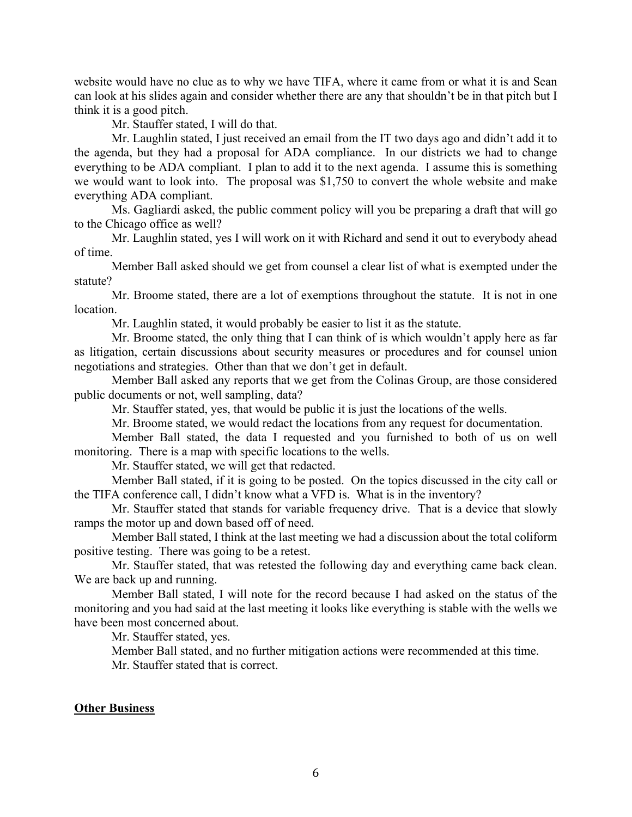website would have no clue as to why we have TIFA, where it came from or what it is and Sean can look at his slides again and consider whether there are any that shouldn't be in that pitch but I think it is a good pitch.

Mr. Stauffer stated, I will do that.

Mr. Laughlin stated, I just received an email from the IT two days ago and didn't add it to the agenda, but they had a proposal for ADA compliance. In our districts we had to change everything to be ADA compliant. I plan to add it to the next agenda. I assume this is something we would want to look into. The proposal was \$1,750 to convert the whole website and make everything ADA compliant.

Ms. Gagliardi asked, the public comment policy will you be preparing a draft that will go to the Chicago office as well?

Mr. Laughlin stated, yes I will work on it with Richard and send it out to everybody ahead of time.

Member Ball asked should we get from counsel a clear list of what is exempted under the statute?

Mr. Broome stated, there are a lot of exemptions throughout the statute. It is not in one location.

Mr. Laughlin stated, it would probably be easier to list it as the statute.

Mr. Broome stated, the only thing that I can think of is which wouldn't apply here as far as litigation, certain discussions about security measures or procedures and for counsel union negotiations and strategies. Other than that we don't get in default.

Member Ball asked any reports that we get from the Colinas Group, are those considered public documents or not, well sampling, data?

Mr. Stauffer stated, yes, that would be public it is just the locations of the wells.

Mr. Broome stated, we would redact the locations from any request for documentation.

Member Ball stated, the data I requested and you furnished to both of us on well monitoring. There is a map with specific locations to the wells.

Mr. Stauffer stated, we will get that redacted.

Member Ball stated, if it is going to be posted. On the topics discussed in the city call or the TIFA conference call, I didn't know what a VFD is. What is in the inventory?

Mr. Stauffer stated that stands for variable frequency drive. That is a device that slowly ramps the motor up and down based off of need.

Member Ball stated, I think at the last meeting we had a discussion about the total coliform positive testing. There was going to be a retest.

Mr. Stauffer stated, that was retested the following day and everything came back clean. We are back up and running.

Member Ball stated, I will note for the record because I had asked on the status of the monitoring and you had said at the last meeting it looks like everything is stable with the wells we have been most concerned about.

Mr. Stauffer stated, yes.

Member Ball stated, and no further mitigation actions were recommended at this time. Mr. Stauffer stated that is correct.

# **Other Business**